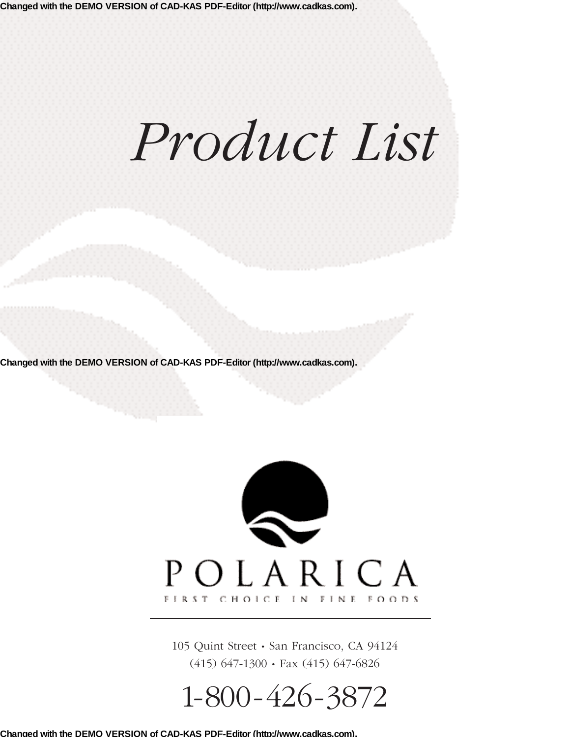*Product List*

**Changed with the DEMO VERSION of CAD-KAS PDF-Editor (http://www.cadkas.com).**



105 Quint Street • San Francisco, CA 94124 (415) 647-1300 • Fax (415) 647-6826

1-800-426-3872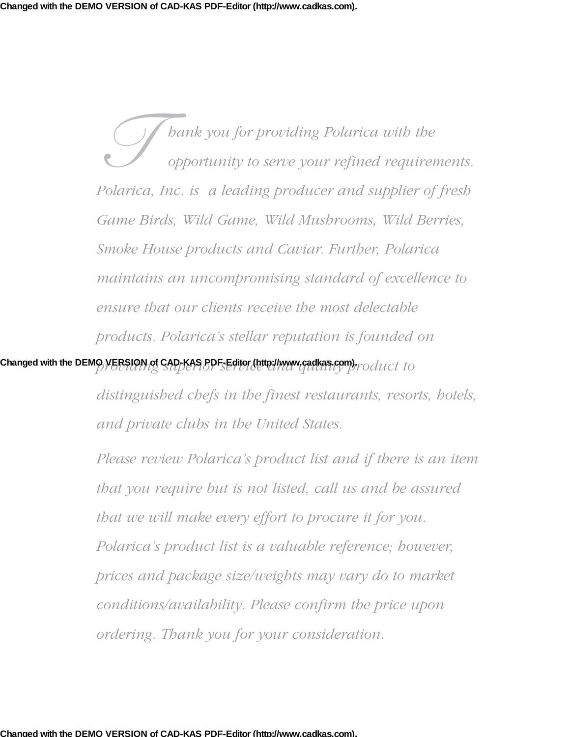*Thank you for providing Polarica with the opportunity to serve your refined requirements. Polarica, Inc. is a leading producer and supplier of fresh Game Birds, Wild Game, Wild Mushrooms, Wild Berries, Smoke House products and Caviar. Further, Polarica maintains an uncompromising standard of excellence to ensure that our clients receive the most delectable*

*products. Polarica's stellar reputation is founded on*

**Changed with the DEMO VERSION of CAD-KAS PDF-Editor (http://www.cadkas.com).**<br>Changed with the DEMO VERSION of CAD-KAS PDF-Editor (http://www.cadkas.com).

*distinguished chefs in the finest restaurants, resorts, hotels, and private clubs in the United States.*

*Please review Polarica's product list and if there is an item that you require but is not listed, call us and be assured that we will make every effort to procure it for you. Polarica's product list is a valuable reference; however, prices and package size/weights may vary do to market conditions/availability. Please confirm the price upon ordering. Thank you for your consideration.*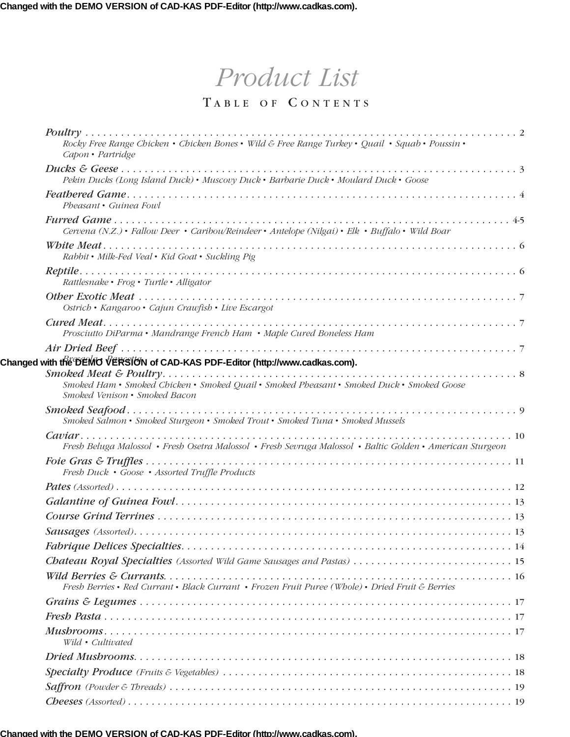### *Product List*

#### T ABLE OF C ONTENTS

| Rocky Free Range Chicken • Chicken Bones • Wild & Free Range Turkey • Quail • Squab • Poussin •<br>Capon · Partridge       |
|----------------------------------------------------------------------------------------------------------------------------|
| Pekin Ducks (Long Island Duck) • Muscovy Duck • Barbarie Duck • Moulard Duck • Goose                                       |
| Pheasant • Guinea Fowl                                                                                                     |
| Cervena (N.Z.) • Fallow Deer • Caribou/Reindeer • Antelope (Nilgai) • Elk • Buffalo • Wild Boar                            |
| Rabbit · Milk-Fed Veal · Kid Goat · Suckling Pig                                                                           |
| Rattlesnake · Frog · Turtle · Alligator                                                                                    |
| Ostrich • Kangaroo • Cajun Crawfish • Live Escargot                                                                        |
| Prosciutto DiParma • Mandrange French Ham • Maple Cured Boneless Ham                                                       |
|                                                                                                                            |
| Changed with the DEMO VERSION of CAD-KAS PDF-Editor (http://www.cadkas.com).                                               |
| Smoked Ham • Smoked Chicken • Smoked Quail • Smoked Pheasant • Smoked Duck • Smoked Goose<br>Smoked Venison • Smoked Bacon |
| Smoked Salmon • Smoked Sturgeon • Smoked Trout • Smoked Tuna • Smoked Mussels                                              |
| Fresh Beluga Malossol • Fresh Osetra Malossol • Fresh Sevruga Malossol • Baltic Golden • American Sturgeon                 |
| Fresh Duck • Goose • Assorted Truffle Products                                                                             |
|                                                                                                                            |
|                                                                                                                            |
|                                                                                                                            |
|                                                                                                                            |
|                                                                                                                            |
| Chateau Royal Specialties (Assorted Wild Game Sausages and Pastas)  15                                                     |
| Fresh Berries • Red Currant • Black Currant • Frozen Fruit Puree (Whole) • Dried Fruit & Berries                           |
|                                                                                                                            |
|                                                                                                                            |
| Wild • Cultivated                                                                                                          |
|                                                                                                                            |
|                                                                                                                            |
|                                                                                                                            |
|                                                                                                                            |
|                                                                                                                            |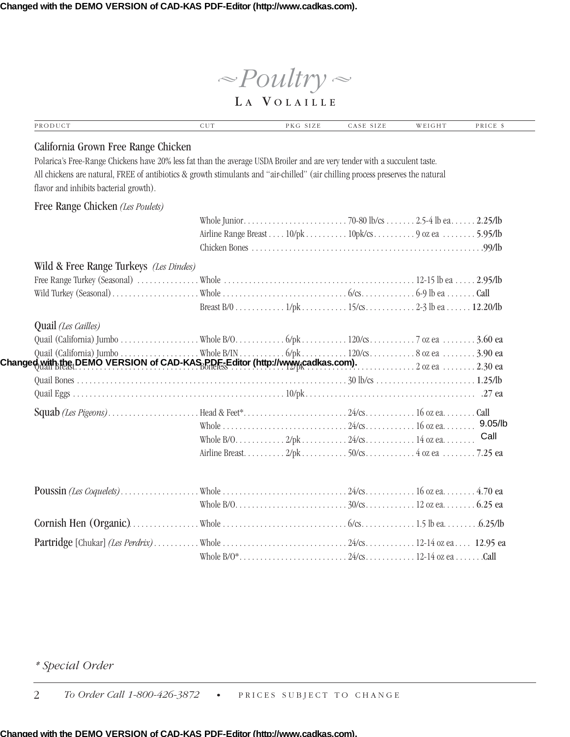*Poultry* LA VOLAILLE

| --<br>РR | $-7.7$<br>ں ر | $\sqrt{2}$ | ∼<br>$\bot$ |  |  |
|----------|---------------|------------|-------------|--|--|
|          |               |            |             |  |  |

#### California Grown Free Range Chicken

Polarica's Free-Range Chickens have 20% less fat than the average USDA Broiler and are very tender with a succulent taste. All chickens are natural, FREE of antibiotics & growth stimulants and "air-chilled" (air chilling process preserves the natural flavor and inhibits bacterial growth).

Free Range Chicken *(Les Poulets)*

|                                                                                                                                                                   | Airline Range Breast 10/pk 10pk/cs 9 oz ea 5.95/lb                                                                                  |  |         |
|-------------------------------------------------------------------------------------------------------------------------------------------------------------------|-------------------------------------------------------------------------------------------------------------------------------------|--|---------|
|                                                                                                                                                                   |                                                                                                                                     |  |         |
| Wild & Free Range Turkeys (Les Dindes)                                                                                                                            |                                                                                                                                     |  |         |
|                                                                                                                                                                   |                                                                                                                                     |  |         |
|                                                                                                                                                                   |                                                                                                                                     |  |         |
|                                                                                                                                                                   | Breast B/0 1/pk 15/cs 2-3 lb ea 12.20/lb                                                                                            |  |         |
| <b>Quail</b> (Les Cailles)                                                                                                                                        |                                                                                                                                     |  |         |
|                                                                                                                                                                   |                                                                                                                                     |  |         |
|                                                                                                                                                                   |                                                                                                                                     |  |         |
| Changed with the DEMO VERSION of CAD-KAS PDF-Editor (http://www.cadkas.com).<br>Changed with the DEMO VERSION of CAD-KAS Bolleless ditor (http://www.cadkas.com). |                                                                                                                                     |  |         |
|                                                                                                                                                                   |                                                                                                                                     |  |         |
|                                                                                                                                                                   |                                                                                                                                     |  |         |
|                                                                                                                                                                   |                                                                                                                                     |  |         |
|                                                                                                                                                                   | Whole $\ldots$ $\ldots$ $\ldots$ $\ldots$ $\ldots$ $\ldots$ $\ldots$ $\ldots$ $\ldots$ $\ldots$ $\ldots$ $\ldots$ $\ldots$ $\ldots$ |  | 9.05/lb |
|                                                                                                                                                                   |                                                                                                                                     |  | Call    |
|                                                                                                                                                                   | Airline Breast. 2/pk 50/cs. 4 oz ea 7.25 ea                                                                                         |  |         |
|                                                                                                                                                                   |                                                                                                                                     |  |         |
|                                                                                                                                                                   |                                                                                                                                     |  |         |
|                                                                                                                                                                   |                                                                                                                                     |  |         |
|                                                                                                                                                                   |                                                                                                                                     |  |         |

#### *\* Special Order*

*To Order Call 1-800-426-3872* • PRICES SUBJECT TO CHANGE 2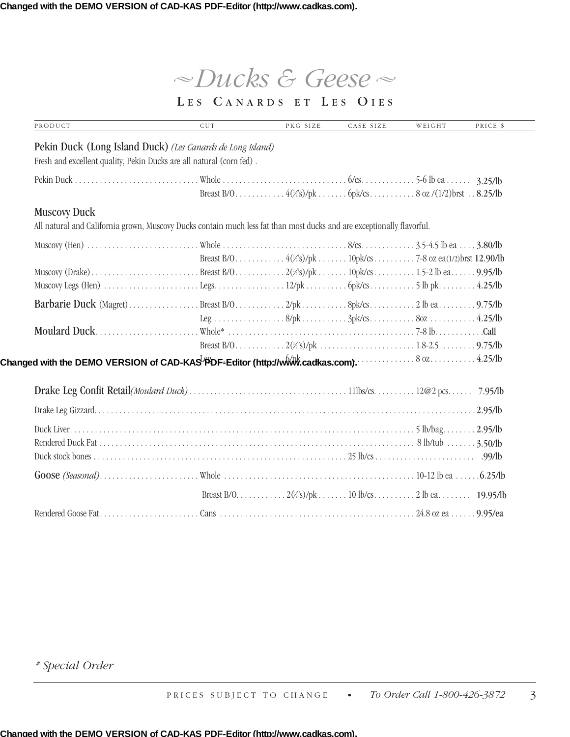### *Ducks & Geese*

#### LES CANARDS ET LES OIES

| PRODUCT                                                                                                                                                                                    | CUT | PKG SIZE                                                                    | CASE SIZE | WEIGHT | PRICE \$ |
|--------------------------------------------------------------------------------------------------------------------------------------------------------------------------------------------|-----|-----------------------------------------------------------------------------|-----------|--------|----------|
| Pekin Duck (Long Island Duck) (Les Canards de Long Island)                                                                                                                                 |     |                                                                             |           |        |          |
| Fresh and excellent quality, Pekin Ducks are all natural (corn fed).                                                                                                                       |     |                                                                             |           |        |          |
|                                                                                                                                                                                            |     |                                                                             |           |        |          |
|                                                                                                                                                                                            |     |                                                                             |           |        |          |
| <b>Muscovy Duck</b>                                                                                                                                                                        |     |                                                                             |           |        |          |
| All natural and California grown, Muscovy Ducks contain much less fat than most ducks and are exceptionally flavorful.                                                                     |     |                                                                             |           |        |          |
|                                                                                                                                                                                            |     |                                                                             |           |        |          |
|                                                                                                                                                                                            |     | Breast B/O 4( $\frac{\sqrt{2}}{3}$ )/pk 10pk/cs 7-8 oz ea(1/2)brst 12.90/lb |           |        |          |
|                                                                                                                                                                                            |     |                                                                             |           |        |          |
| Muscovy Legs (Hen) $\ldots \ldots \ldots \ldots \ldots$ Legs $\ldots \ldots \ldots \ldots \ldots \ldots$ 12/pk $\ldots \ldots \ldots \ldots$ 6pk/cs $\ldots \ldots \ldots \ldots$ 5 lb pk. |     |                                                                             |           |        |          |
|                                                                                                                                                                                            |     |                                                                             |           |        |          |
|                                                                                                                                                                                            |     |                                                                             |           |        |          |
|                                                                                                                                                                                            |     |                                                                             |           |        |          |
|                                                                                                                                                                                            |     |                                                                             |           |        |          |
|                                                                                                                                                                                            |     |                                                                             |           |        |          |
|                                                                                                                                                                                            |     |                                                                             |           |        |          |
|                                                                                                                                                                                            |     |                                                                             |           |        |          |
|                                                                                                                                                                                            |     |                                                                             |           |        |          |
|                                                                                                                                                                                            |     |                                                                             |           |        |          |
|                                                                                                                                                                                            |     |                                                                             |           |        |          |
|                                                                                                                                                                                            |     |                                                                             |           |        |          |
|                                                                                                                                                                                            |     |                                                                             |           |        |          |
|                                                                                                                                                                                            |     |                                                                             |           |        |          |
|                                                                                                                                                                                            |     |                                                                             |           |        |          |
|                                                                                                                                                                                            |     |                                                                             |           |        |          |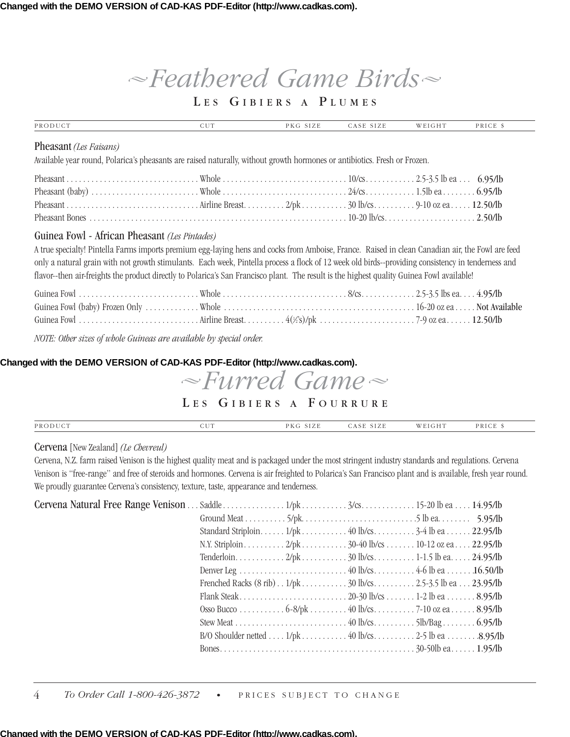# *Feathered Game Birds*

#### LES GIBIERS A PLUMES

| PRC<br>1111 | TT.<br>◡ | . | $\cdots$ | <b>TTH</b><br>W. | P R L |  |
|-------------|----------|---|----------|------------------|-------|--|
|             |          |   |          |                  |       |  |

#### Pheasant *(Les Faisans)*

Available year round, Polarica's pheasants are raised naturally, without growth hormones or antibiotics. Fresh or Frozen.

| Pheasant (baby) $\ldots$ $\ldots$ $\ldots$ $\ldots$ $\ldots$ $\ldots$ $\ldots$ $\ldots$ $\ldots$ $\ldots$ $\ldots$ $\ldots$ $\ldots$ $\ldots$ $\ldots$ $\ldots$ $\ldots$ $\ldots$ $\ldots$ $\ldots$ $\ldots$ $\ldots$ $\ldots$ $\ldots$ $\ldots$ $\ldots$ $\ldots$ $\ldots$ $\ldots$ $\ldots$ $\ldots$ $\ldots$ $\ldots$ $\ldots$ |  |  |  |
|-----------------------------------------------------------------------------------------------------------------------------------------------------------------------------------------------------------------------------------------------------------------------------------------------------------------------------------|--|--|--|
|                                                                                                                                                                                                                                                                                                                                   |  |  |  |
|                                                                                                                                                                                                                                                                                                                                   |  |  |  |

#### Guinea Fowl - African Pheasant *(Les Pintades)*

A true specialty! Pintella Farms imports premium egg-laying hens and cocks from Amboise, France. Raised in clean Canadian air, the Fowl are feed only a natural grain with not growth stimulants. Each week, Pintella process a flock of 12 week old birds--providing consistency in tenderness and flavor--then air-freights the product directly to Polarica's San Francisco plant. The result is the highest quality Guinea Fowl available!

| Guinea Fowl $\ldots$ $\ldots$ $\ldots$ $\ldots$ $\ldots$ $\ldots$ $\ldots$ $\ldots$ Airline Breast. $\ldots$ $\ldots$ $\frac{4(\frac{1}{2})}{pk}$ $\ldots$ $\ldots$ $\ldots$ $\ldots$ $\ldots$ $\ldots$ $\frac{7}{9}$ oz ea. $\ldots$ $\ldots$ 12.50/lb |  |  |
|---------------------------------------------------------------------------------------------------------------------------------------------------------------------------------------------------------------------------------------------------------|--|--|

*NOTE: Other sizes of whole Guineas are available by special order.*

#### **Changed with the DEMO VERSION of CAD-KAS PDF-Editor (http://www.cadkas.com).**

*Furred Game*

#### LES GIBIERS A FOURRURE

| PRODIIC | CUT | $   -$<br>7 L L | <b>TITUT</b><br>TZE<br>$\overline{\phantom{0}}$ | $T$ T T $T$<br>W.<br>$\epsilon$ . $\epsilon$ | $P \, R \, I \, C \, P$<br>$\sim$ 1. |  |
|---------|-----|-----------------|-------------------------------------------------|----------------------------------------------|--------------------------------------|--|
|         |     |                 |                                                 |                                              |                                      |  |

#### Cervena[New Zealand] *(Le Chevreul)*

Cervena, N.Z. farm raised Venison is the highest quality meat and is packaged under the most stringent industry standards and regulations. Cervena Venison is "free-range" and free of steroids and hormones. Cervena is air freighted to Polarica's San Francisco plant and is available, fresh year round. We proudly guarantee Cervena's consistency, texture, taste, appearance and tenderness.

|  |  | Standard Striploin. 1/pk 40 lb/cs. 3-4 lb ea 22.95/lb |
|--|--|-------------------------------------------------------|
|  |  | N.Y. Striploin 2/pk 30-40 lb/cs 10-12 oz ea 22.95/lb  |
|  |  | Tenderloin. 2/pk 30 lb/cs. 1-1.5 lb ea. 24.95/lb      |
|  |  |                                                       |
|  |  |                                                       |
|  |  |                                                       |
|  |  | Osso Bucco 6-8/pk 40 lb/cs. 7-10 oz ea. 8.95/lb       |
|  |  |                                                       |
|  |  |                                                       |
|  |  |                                                       |
|  |  |                                                       |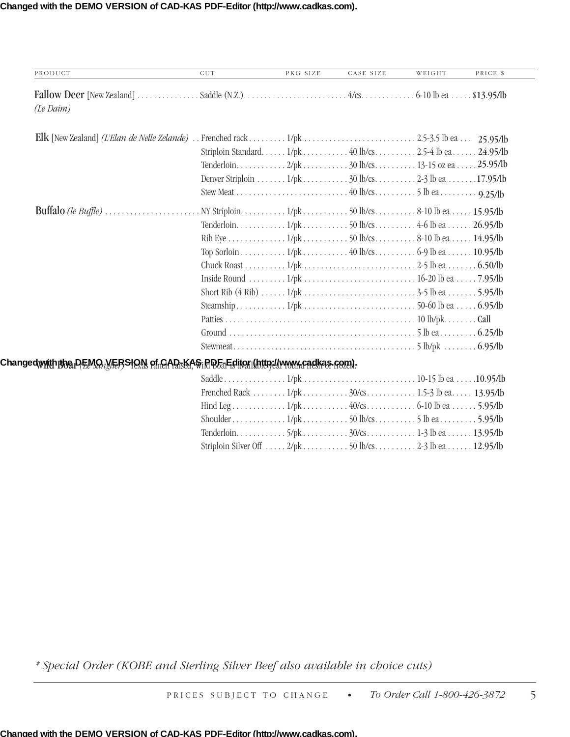| PRODUCT                                                                        | CUT                                                      | PKG SIZE | CASE SIZE | WEIGHT | PRICE \$ |
|--------------------------------------------------------------------------------|----------------------------------------------------------|----------|-----------|--------|----------|
|                                                                                |                                                          |          |           |        |          |
| (Le Daim)                                                                      |                                                          |          |           |        |          |
|                                                                                |                                                          |          |           |        |          |
|                                                                                | Striploin Standard. 1/pk 40 lb/cs 2.5-4 lb ea. 2.4.95/lb |          |           |        |          |
|                                                                                | Tenderloin. 2/pk 30 lb/cs. 13-15 oz ea 25.95/lb          |          |           |        |          |
|                                                                                | Denver Striploin 1/pk 30 lb/cs. 2-3 lb ea 17.95/lb       |          |           |        |          |
|                                                                                |                                                          |          |           |        |          |
| Buffalo (le Buffle) $\ldots \ldots \ldots \ldots \ldots \ldots$                | NY Striploin. 1/pk 50 lb/cs. 8-10 lb ea 15.95/lb         |          |           |        |          |
|                                                                                | Tenderloin. 1/pk 50 lb/cs. 4-6 lb ea 26.95/lb            |          |           |        |          |
|                                                                                | Rib Eye 1/pk 50 lb/cs 8-10 lb ea 14.95/lb                |          |           |        |          |
|                                                                                | Top Sorloin 1/pk 40 lb/cs 6-9 lb ea 10.95/lb             |          |           |        |          |
|                                                                                |                                                          |          |           |        |          |
|                                                                                |                                                          |          |           |        |          |
|                                                                                |                                                          |          |           |        |          |
|                                                                                |                                                          |          |           |        |          |
|                                                                                |                                                          |          |           |        |          |
|                                                                                |                                                          |          |           |        |          |
|                                                                                |                                                          |          |           |        |          |
| Changedwyith the DEMO, VERSION of GAD KAS iRB5 Editor (http://www.cadkas-com). |                                                          |          |           |        |          |
|                                                                                |                                                          |          |           |        |          |
|                                                                                | Frenched Rack 1/pk 30/cs 1.5-3 lb ea. 13.95/lb           |          |           |        |          |
|                                                                                | Hind Leg 1/pk 40/cs 6-10 lb ea 5.95/lb                   |          |           |        |          |

*\* Special Order (KOBE and Sterling Silver Beef also available in choice cuts)*

PRICES SUBJECT TO CHANGE • *To Order Call 1-800-426-3872* 5

Shoulder . . . . . . . . . . . . . 1/pk . . . . . . . . . . . 50 lb/cs. . . . . . . . . . 5 lb ea . . . . . . . . . 5.95/lb Tenderloin. . . . . . . . . . . . 5/pk . . . . . . . . . . . 30/cs. . . . . . . . . . . . 1-3 lb ea . . . . . . 13.95/lb Striploin Silver Off . . . . . 2/pk . . . . . . . . . . . 50 lb/cs. . . . . . . . . . 2-3 lb ea . . . . . . 12.95/lb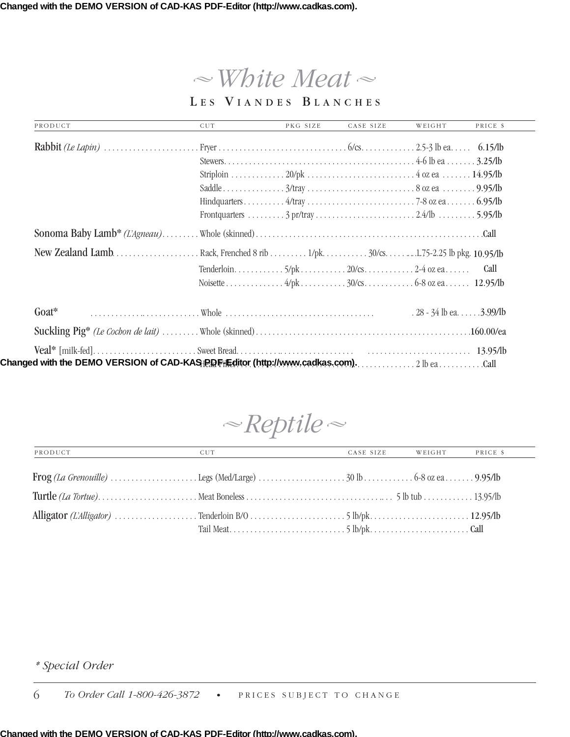### *White Meat*

#### LES VIANDES BLANCHES

| PRODUCT                                                                                     | CUT                                    | PKG SIZE | CASE SIZE | WEIGHT                    | PRICE \$ |
|---------------------------------------------------------------------------------------------|----------------------------------------|----------|-----------|---------------------------|----------|
|                                                                                             |                                        |          |           |                           |          |
|                                                                                             |                                        |          |           |                           |          |
|                                                                                             |                                        |          |           |                           |          |
|                                                                                             |                                        |          |           |                           |          |
|                                                                                             |                                        |          |           |                           |          |
|                                                                                             |                                        |          |           |                           |          |
|                                                                                             |                                        |          |           |                           |          |
|                                                                                             |                                        |          |           |                           |          |
|                                                                                             |                                        |          |           |                           |          |
|                                                                                             | Noisette 4/pk 30/cs 6-8 oz ea 12.95/lb |          |           |                           |          |
| Goat*                                                                                       |                                        |          |           | . 28 - 34 lb ea $3.99/1b$ |          |
|                                                                                             |                                        |          |           |                           |          |
|                                                                                             |                                        |          |           |                           |          |
| Changed with the DEMO VERSION of CAD-KAS PRFileditor (http://www.cadkas.com). 2 lb ea. Call |                                        |          |           |                           |          |

*Reptile*

| PRODUCT | CUT | CASE SIZE | WEIGHT | PRICE \$ |
|---------|-----|-----------|--------|----------|
|         |     |           |        |          |
|         |     |           |        |          |
|         |     |           |        |          |
|         |     |           |        |          |

*\* Special Order*

*To Order Call 1-800-426-3872* • PRICES SUBJECT TO CHANGE 6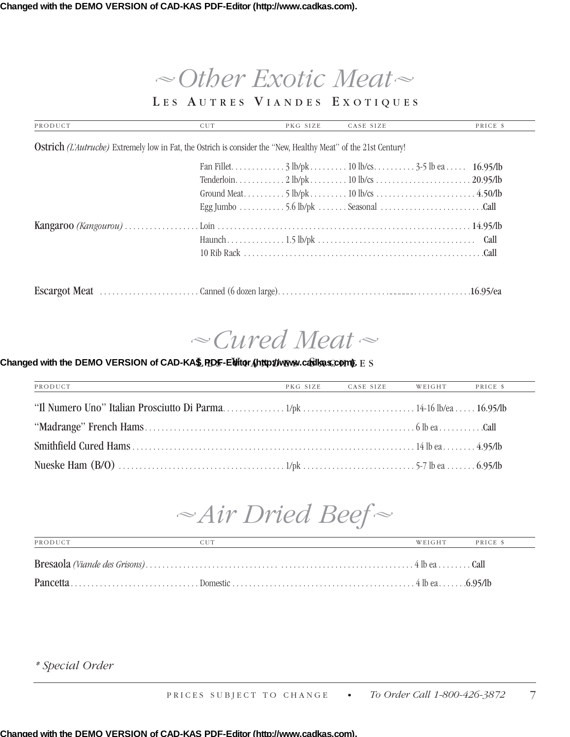# *Other Exotic Meat*

### LES AUTRES VIANDES EXOTIQUES

| PRODUCT                                                                                                                         | CUT | PKG SIZE | CASE SIZE                                                                                                   | PRICE \$ |
|---------------------------------------------------------------------------------------------------------------------------------|-----|----------|-------------------------------------------------------------------------------------------------------------|----------|
| <b>Ostrich</b> ( <i>L'Autruche</i> ) Extremely low in Fat, the Ostrich is consider the "New, Healthy Meat" of the 21st Century! |     |          |                                                                                                             |          |
|                                                                                                                                 |     |          |                                                                                                             |          |
|                                                                                                                                 |     |          |                                                                                                             |          |
|                                                                                                                                 |     |          |                                                                                                             |          |
|                                                                                                                                 |     |          | Egg Jumbo $\dots \dots \dots 5.6$ lb/pk $\dots \dots$ Seasonal $\dots \dots \dots \dots \dots \dots$ . Call |          |
|                                                                                                                                 |     |          |                                                                                                             |          |
|                                                                                                                                 |     |          |                                                                                                             |          |
|                                                                                                                                 |     |          |                                                                                                             |          |
|                                                                                                                                 |     |          |                                                                                                             |          |
|                                                                                                                                 |     |          |                                                                                                             |          |

*Cured Meat*

#### $R$  Changed with the DEMO VERSION of CAD-KAS PDF-ENttor (http://www.cadkas.com). E S

| PRODUCT | PKG SIZE CASE SIZE WEIGHT PRICE \$ |  |
|---------|------------------------------------|--|
|         |                                    |  |
|         |                                    |  |
|         |                                    |  |
|         |                                    |  |

*Air Dried Beef*

| PRODUCT | <b>CHT</b> | WEIGHT | PRICE \$ |
|---------|------------|--------|----------|
|         |            |        |          |
|         |            |        |          |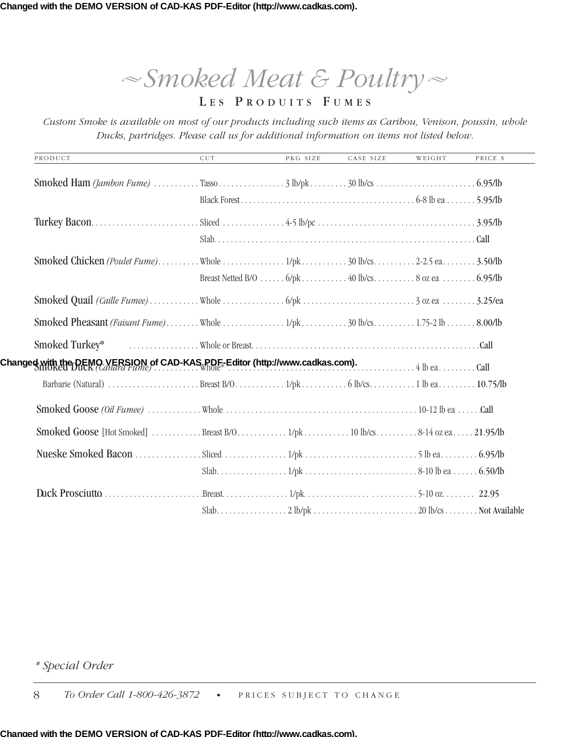*Smoked Meat & Poultry*

#### LES PRODUITS FUMES

*Custom Smoke is available on most of our products including such items as Caribou, Venison, poussin, whole Ducks, partridges. Please call us for additional information on items not listed below.*

| PRODUCT                                                                                                                                                        | CUT                                             | PKG SIZE | CASE SIZE | WEIGHT | PRICE \$ |
|----------------------------------------------------------------------------------------------------------------------------------------------------------------|-------------------------------------------------|----------|-----------|--------|----------|
|                                                                                                                                                                |                                                 |          |           |        |          |
|                                                                                                                                                                |                                                 |          |           |        |          |
|                                                                                                                                                                |                                                 |          |           |        |          |
|                                                                                                                                                                | Breast Netted B/O 6/pk 40 lb/cs 8 oz ea 6.95/lb |          |           |        |          |
|                                                                                                                                                                |                                                 |          |           |        |          |
|                                                                                                                                                                |                                                 |          |           |        |          |
| Smoked Turkey*                                                                                                                                                 |                                                 |          |           |        |          |
| Changed with the DEMO VERSION of CAD-KAS, PDF-Editor (http://www.cadkas.com).<br>Changed with the DEMO VERSION of CAD-KAS, PDF-Editor (http://www.cadkas.com). |                                                 |          |           |        |          |
|                                                                                                                                                                |                                                 |          |           |        |          |
|                                                                                                                                                                |                                                 |          |           |        |          |
|                                                                                                                                                                |                                                 |          |           |        |          |
|                                                                                                                                                                |                                                 |          |           |        |          |
|                                                                                                                                                                |                                                 |          |           |        |          |
|                                                                                                                                                                |                                                 |          |           |        |          |
|                                                                                                                                                                |                                                 |          |           |        |          |

*\* Special Order*

*To Order Call 1-800-426-3872* • PRICES SUBJECT TO CHANGE 8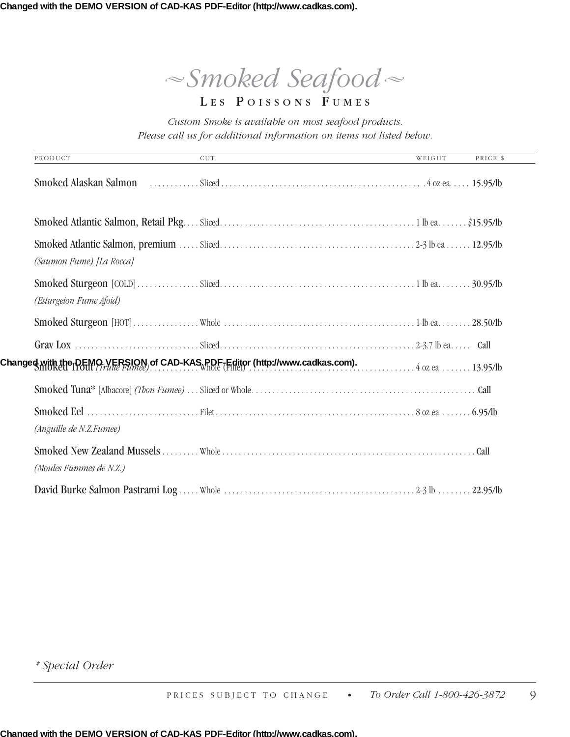*Smoked Seafood*

LES POISSONS FUMES

*Custom Smoke is available on most seafood products. Please call us for additional information on items not listed below.*

| PRODUCT                  | CUT | WEIGHT<br>PRICE \$                                                                 |
|--------------------------|-----|------------------------------------------------------------------------------------|
|                          |     | Smoked Alaskan Salmon (15.95/lb) Since the Street Street Alaskan Salmon (15.95/lb) |
|                          |     |                                                                                    |
| (Saumon Fume) [La Rocca] |     |                                                                                    |
| (Esturgeion Fume Afoid)  |     |                                                                                    |
|                          |     |                                                                                    |
|                          |     |                                                                                    |
|                          |     |                                                                                    |
|                          |     |                                                                                    |
| (Anguille de N.Z.Fumee)  |     |                                                                                    |
| (Moules Fummes de N.Z.)  |     |                                                                                    |
|                          |     |                                                                                    |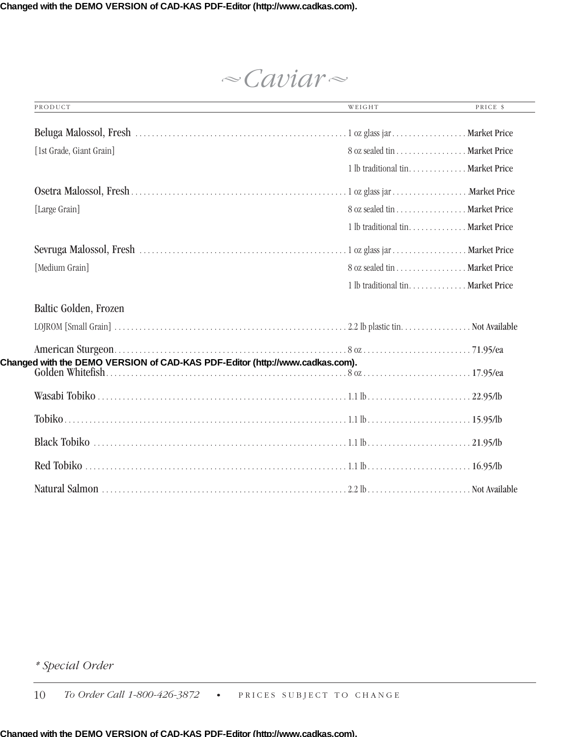### *Caviar*

| PRODUCT                                                                      | WEIGHT | PRICE \$                           |
|------------------------------------------------------------------------------|--------|------------------------------------|
|                                                                              |        |                                    |
| [1st Grade, Giant Grain]                                                     |        | 8 oz sealed tin Market Price       |
|                                                                              |        | 1 lb traditional tin Market Price  |
|                                                                              |        |                                    |
| [Large Grain]                                                                |        | 8 oz sealed tin Market Price       |
|                                                                              |        | 1 lb traditional tin. Market Price |
|                                                                              |        |                                    |
| [Medium Grain]                                                               |        | 8 oz sealed tin Market Price       |
|                                                                              |        | 1 lb traditional tin Market Price  |
| Baltic Golden, Frozen                                                        |        |                                    |
|                                                                              |        |                                    |
|                                                                              |        |                                    |
| Changed with the DEMO VERSION of CAD-KAS PDF-Editor (http://www.cadkas.com). |        |                                    |
|                                                                              |        |                                    |
|                                                                              |        |                                    |
|                                                                              |        |                                    |
|                                                                              |        |                                    |
|                                                                              |        |                                    |

*\* Special Order*

*To Order Call 1-800-426-3872* • PRICES SUBJECT TO CHANGE 10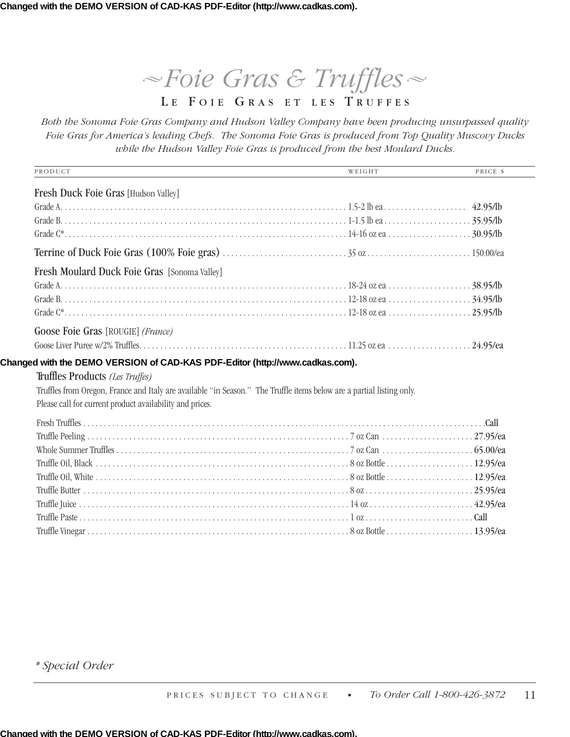# *Foie Gras & Truffles*

#### LE FOIE GRAS ET LES TRUFFES

*Both the Sonoma Foie Gras Company and Hudson Valley Company have been producing unsurpassed quality Foie Gras for America's leading Chefs. The Sonoma Foie Gras is produced from Top Quality Muscovy Ducks while the Hudson Valley Foie Gras is produced from the best Moulard Ducks.*

| PRODUCT                                                                                                                                                                                                              | WEIGHT | PRICE \$ |
|----------------------------------------------------------------------------------------------------------------------------------------------------------------------------------------------------------------------|--------|----------|
| Fresh Duck Foie Gras [Hudson Valley]                                                                                                                                                                                 |        |          |
|                                                                                                                                                                                                                      |        |          |
|                                                                                                                                                                                                                      |        |          |
|                                                                                                                                                                                                                      |        |          |
|                                                                                                                                                                                                                      |        |          |
| Fresh Moulard Duck Foie Gras [Sonoma Valley]                                                                                                                                                                         |        |          |
|                                                                                                                                                                                                                      |        |          |
|                                                                                                                                                                                                                      |        |          |
|                                                                                                                                                                                                                      |        |          |
| Goose Foie Gras [ROUGIE] (France)                                                                                                                                                                                    |        |          |
|                                                                                                                                                                                                                      |        |          |
| Truffles Products (Les Truffes)<br>Truffles from Oregon, France and Italy are available "in Season." The Truffle items below are a partial listing only.<br>Please call for current product availability and prices. |        |          |
|                                                                                                                                                                                                                      |        |          |
|                                                                                                                                                                                                                      |        |          |
|                                                                                                                                                                                                                      |        |          |
|                                                                                                                                                                                                                      |        |          |
|                                                                                                                                                                                                                      |        |          |
|                                                                                                                                                                                                                      |        |          |
|                                                                                                                                                                                                                      |        |          |
|                                                                                                                                                                                                                      |        |          |
|                                                                                                                                                                                                                      |        |          |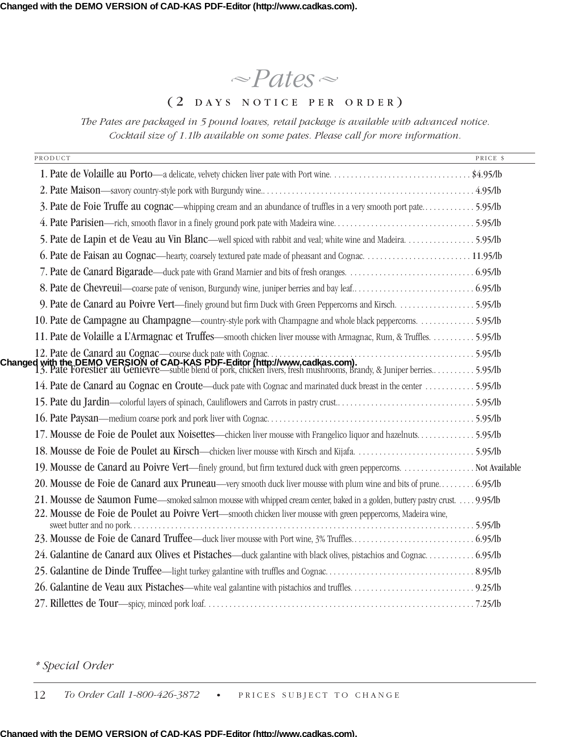*Pates*

#### (2 D A YS NOTICE PER ORDER )

*The Pates are packaged in 5 pound loaves, retail package is available with advanced notice. Cocktail size of 1.1lb available on some pates. Please call for more information.*

| 19. Mousse de Canard au Poivre Vert—finely ground, but firm textured duck with green peppercorns. Not Available |
|-----------------------------------------------------------------------------------------------------------------|
|                                                                                                                 |
|                                                                                                                 |
|                                                                                                                 |
|                                                                                                                 |
|                                                                                                                 |
|                                                                                                                 |
|                                                                                                                 |
|                                                                                                                 |
|                                                                                                                 |

*\* Special Order*

*To Order Call 1-800-426-3872* • PRICES SUBJECT TO CHANGE 12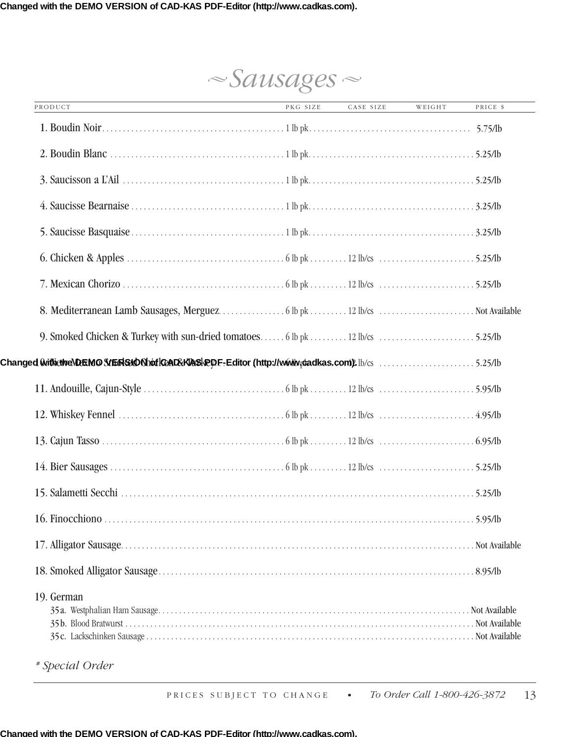| PRODUCT                                                                                    | PKG SIZE | CASE SIZE | WEIGHT | PRICE \$ |
|--------------------------------------------------------------------------------------------|----------|-----------|--------|----------|
|                                                                                            |          |           |        |          |
|                                                                                            |          |           |        |          |
|                                                                                            |          |           |        |          |
|                                                                                            |          |           |        |          |
|                                                                                            |          |           |        |          |
|                                                                                            |          |           |        |          |
|                                                                                            |          |           |        |          |
|                                                                                            |          |           |        |          |
|                                                                                            |          |           |        |          |
| Changed WithetweVDEMO SVERSION of CAD&KASKPDF-Editor (http://www.dadkas.com) lb/cs 5.25/lb |          |           |        |          |
|                                                                                            |          |           |        |          |
|                                                                                            |          |           |        |          |
|                                                                                            |          |           |        |          |
|                                                                                            |          |           |        |          |
|                                                                                            |          |           |        |          |
|                                                                                            |          |           |        |          |
|                                                                                            |          |           |        |          |
|                                                                                            |          |           |        |          |
| 19. German                                                                                 |          |           |        |          |

PRICES SUBJECT TO CHANGE • *To Order Call 1-800-426-3872* 13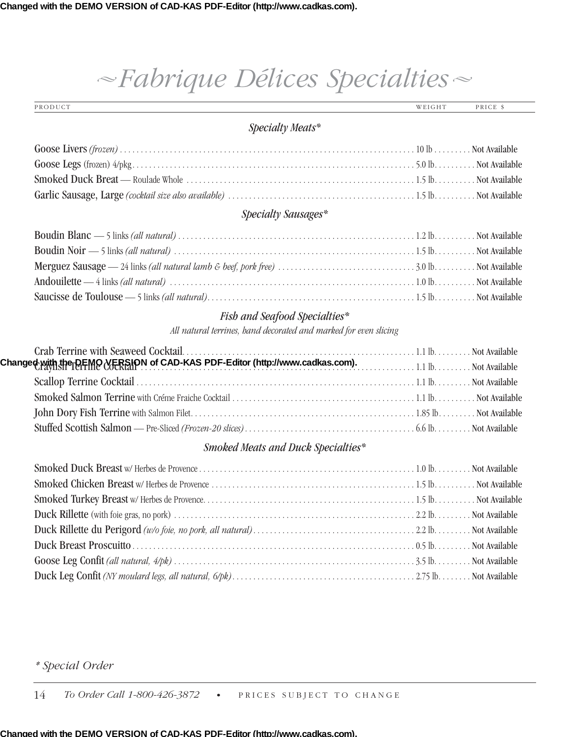## *Fabrique Délices Specialties*

PRODUCT PRICE \$

#### *Specialty Meats\**

#### *Specialty Sausages\**

#### *Fish and Seafood Specialties\**

*All natural terrines, hand decorated and marked for even slicing*

| Changed with the DEMO VERSION of CAD-KAS PDF-Editor (http://www.cadkas.com).<br>Changed with the DEMO VERSION of CAD-KAS PDF-Editor (http://www.cadkas.com). |  |
|--------------------------------------------------------------------------------------------------------------------------------------------------------------|--|
|                                                                                                                                                              |  |
|                                                                                                                                                              |  |
|                                                                                                                                                              |  |
|                                                                                                                                                              |  |

#### *Smoked Meats and Duck Specialties\**

#### *\* Special Order*

*To Order Call 1-800-426-3872* • PRICES SUBJECT TO CHANGE 14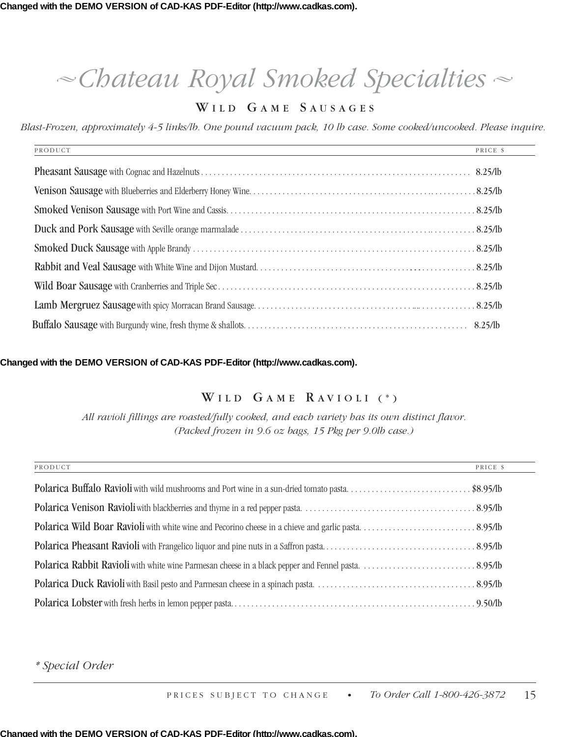## *Chateau Royal Smoked Specialties*

#### WILD GAME SAUSAGES

*Blast-Frozen, approximately 4-5 links/lb. One pound vacuum pack, 10 lb case. Some cooked/uncooked. Please inquire.*

| PRODUCT | PRICE \$ |
|---------|----------|
|         |          |
|         |          |
|         |          |
|         |          |
|         |          |
|         |          |
|         |          |
|         |          |
|         |          |

#### **Changed with the DEMO VERSION of CAD-KAS PDF-Editor (http://www.cadkas.com).**

#### WILD GAME RAVIOLI<sup>(\*)</sup>

*All ravioli fillings are roasted/fully cooked, and each variety has its own distinct flavor. (Packed frozen in 9.6 oz bags, 15 Pkg per 9.0lb case.)*

| PRODUCT                                                                                         | PRICE \$ |
|-------------------------------------------------------------------------------------------------|----------|
| Polarica Buffalo Ravioli with wild mushrooms and Port wine in a sun-dried tomato pasta\$8.95/lb |          |
|                                                                                                 |          |
|                                                                                                 |          |
|                                                                                                 |          |
|                                                                                                 |          |
|                                                                                                 |          |
|                                                                                                 |          |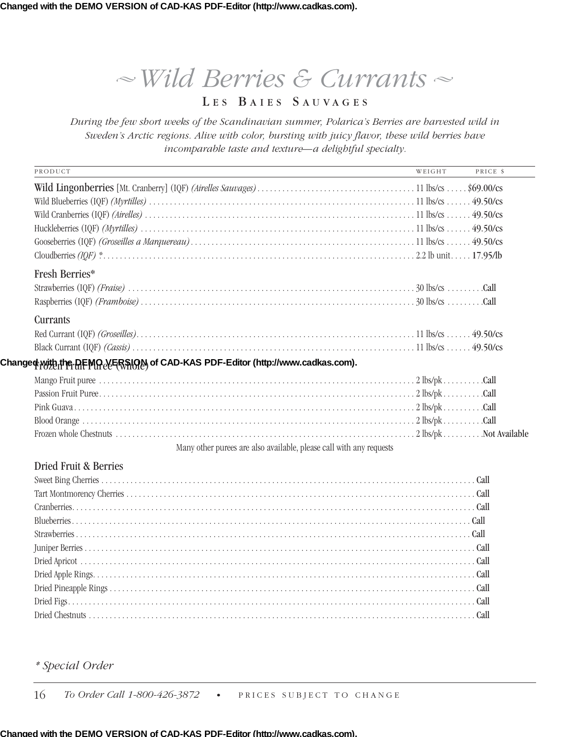### *Wild Berries & Currants*

#### LES BAIES SAUVAGES

*During the few short weeks of the Scandinavian summer, Polarica's Berries are harvested wild in Sweden's Arctic regions. Alive with color, bursting with juicy flavor, these wild berries have incomparable taste and texture—a delightful specialty.*

| PRODUCT                                                                      | WEIGHT<br>PRICE \$ |
|------------------------------------------------------------------------------|--------------------|
|                                                                              |                    |
|                                                                              |                    |
|                                                                              |                    |
|                                                                              |                    |
|                                                                              |                    |
|                                                                              |                    |
| Fresh Berries*                                                               |                    |
|                                                                              |                    |
|                                                                              |                    |
|                                                                              |                    |
| Currants                                                                     |                    |
|                                                                              |                    |
|                                                                              |                    |
| Changed with the DEMO VERSION of CAD-KAS PDF-Editor (http://www.cadkas.com). |                    |
|                                                                              |                    |
|                                                                              |                    |
|                                                                              |                    |
|                                                                              |                    |
|                                                                              |                    |
| Many other purees are also available, please call with any requests          |                    |
| Dried Fruit & Berries                                                        |                    |
|                                                                              |                    |
|                                                                              |                    |
|                                                                              |                    |
|                                                                              |                    |
|                                                                              |                    |
|                                                                              |                    |
|                                                                              |                    |
|                                                                              |                    |
|                                                                              |                    |
|                                                                              |                    |
|                                                                              |                    |

*\* Special Order*

*To Order Call 1-800-426-3872* • PRICES SUBJECT TO CHANGE 16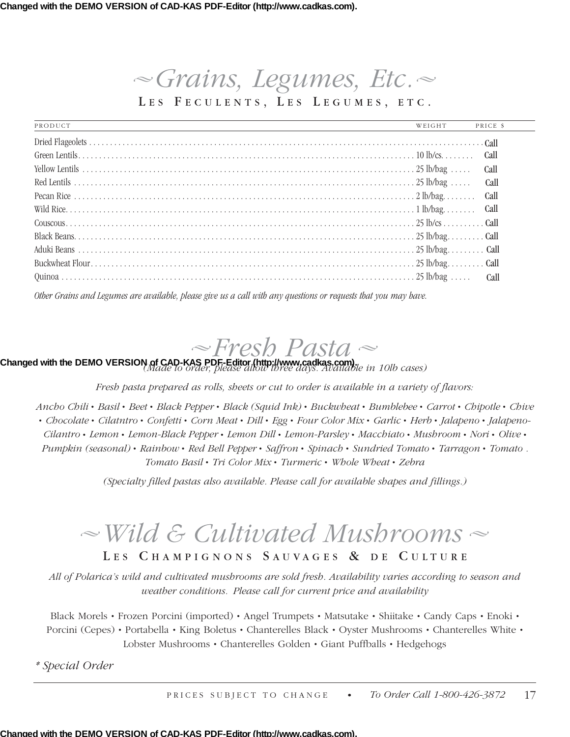### $\sim$  *Grains, Legumes, Etc.*  $\sim$ LES FECULENTS, LES LEGUMES, ETC.

| PRODUCT | WEIGHT | PRICE \$ |
|---------|--------|----------|
|         |        |          |
|         |        |          |
|         |        |          |
|         |        |          |
|         |        |          |
|         |        |          |
|         |        |          |
|         |        |          |
|         |        |          |
|         |        |          |
|         |        | -Call    |

*Other Grains and Legumes are available, please give us a call with any questions or requests that you may have.*

*Fresh Pasta* 

*(Made to order, please allow three days. Available in 10lb cases)* **Changed with the DEMO VERSION of CAD-KAS PDF-Editor (http://www.cadkas.com).**

*Fresh pasta prepared as rolls, sheets or cut to order is available in a variety of flavors:*

*Ancho Chili* • *Basil* • *Beet* • *Black Pepper* • *Black (Squid Ink)* • *Buckwheat* • *Bumblebee* • *Carrot* • *Chipotle* • *Chive* • *Chocolate* • *Cilatntro* • *Confetti* • *Corn Meat* • *Dill* • *Egg* • *Four Color Mix* • *Garlic* • *Herb* • *Jalapeno* • *Jalapeno-Cilantro* • *Lemon* • *Lemon-Black Pepper* • *Lemon Dill* • *Lemon-Parsley* • *Macchiato* • *Mushroom* • *Nori* • *Olive* • *Pumpkin (seasonal)* • *Rainbow* • *Red Bell Pepper* • *Saffron* • *Spinach* • *Sundried Tomato* • *Tarragon* • *Tomato . Tomato Basil* • *Tri Color Mix* • *Turmeric* • *Whole Wheat* • *Zebra*

*(Specialty filled pastas also available. Please call for available shapes and fillings.)*

# *Wild & Cultivated Mushrooms*

#### LES CHAMPIGNONS SAUVAGES & DE CULTURE

*All of Polarica's wild and cultivated mushrooms are sold fresh. Availability varies according to season and weather conditions. Please call for current price and availability*

Black Morels • Frozen Porcini (imported) • Angel Trumpets • Matsutake • Shiitake • Candy Caps • Enoki • Porcini (Cepes) • Portabella • King Boletus • Chanterelles Black • Oyster Mushrooms • Chanterelles White • Lobster Mushrooms • Chanterelles Golden • Giant Puffballs • Hedgehogs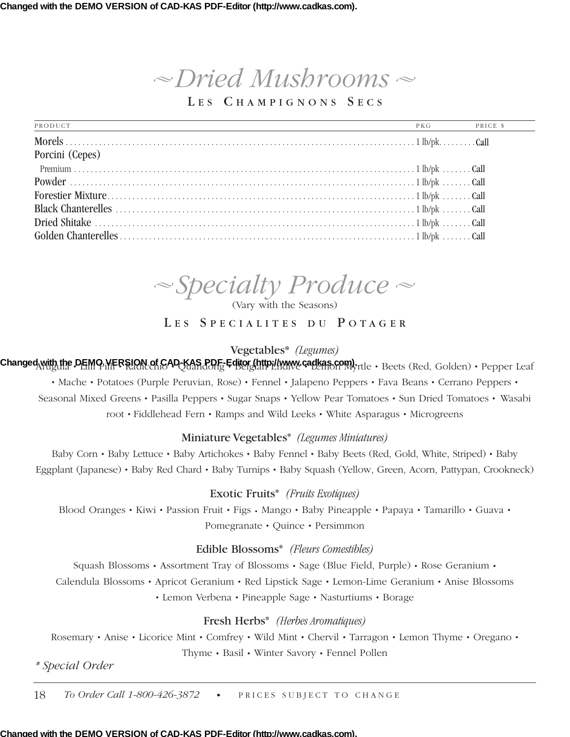*Dried Mushrooms* 

LES CHAMPIGNONS SECS

| PRODUCT         | PKG | PRICE \$ |
|-----------------|-----|----------|
|                 |     |          |
| Porcini (Cepes) |     |          |
|                 |     |          |
|                 |     |          |
|                 |     |          |
|                 |     |          |
|                 |     |          |
|                 |     |          |

*Specialty Produce* 

(Vary with the Seasons)

LES SPECIALITES DU POTAGER

Vegetables\* *(Legumes)*

Changed with the DEMO WERSION of CAD-KAS PDF-Editor (http://www.cadkas.com).<br>Changed with the DEMO WERSION of CAD-KAS PDF-Editor (http://www.cadkas.com). • Mache • Potatoes (Purple Peruvian, Rose) • Fennel • Jalapeno Peppers • Fava Beans • Cerrano Peppers •

Seasonal Mixed Greens • Pasilla Peppers • Sugar Snaps • Yellow Pear Tomatoes • Sun Dried Tomatoes • Wasabi root • Fiddlehead Fern • Ramps and Wild Leeks • White Asparagus • Microgreens

#### Miniature Vegetables\* *(Legumes Miniatures)*

Baby Corn • Baby Lettuce • Baby Artichokes • Baby Fennel • Baby Beets (Red, Gold, White, Striped) • Baby Eggplant (Japanese) • Baby Red Chard • Baby Turnips • Baby Squash (Yellow, Green, Acorn, Pattypan, Crookneck)

#### Exotic Fruits\* *(Fruits Exotiques)*

Blood Oranges • Kiwi • Passion Fruit • Figs • Mango • Baby Pineapple • Papaya • Tamarillo • Guava • Pomegranate • Quince • Persimmon

#### Edible Blossoms\* *(Fleurs Comestibles)*

Squash Blossoms • Assortment Tray of Blossoms • Sage (Blue Field, Purple) • Rose Geranium •

Calendula Blossoms • Apricot Geranium • Red Lipstick Sage • Lemon-Lime Geranium • Anise Blossoms

• Lemon Verbena • Pineapple Sage • Nasturtiums • Borage

#### Fresh Herbs\* *(Herbes Aromatiques)*

Rosemary • Anise • Licorice Mint • Comfrey • Wild Mint • Chervil • Tarragon • Lemon Thyme • Oregano • Thyme • Basil • Winter Savory • Fennel Pollen

*\* Special Order*

*To Order Call 1-800-426-3872* • PRICES SUBJECT TO CHANGE 18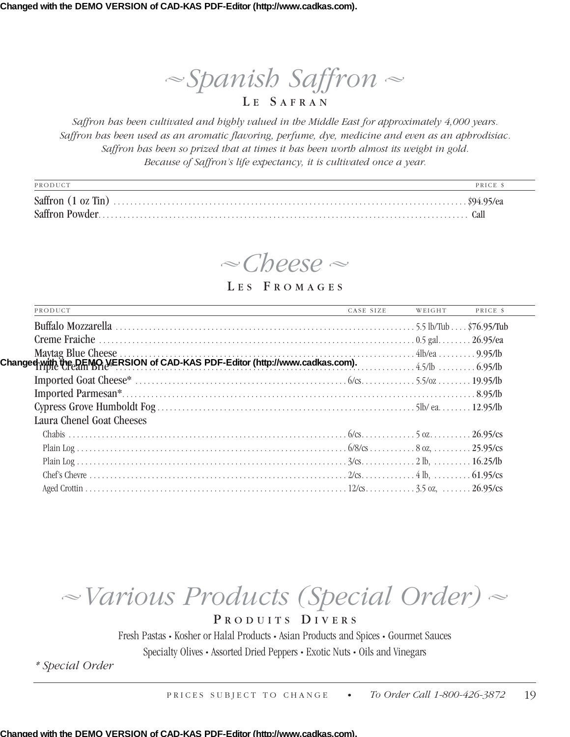*Spanish Saffron* 

#### LE SAFRAN

*Saffron has been cultivated and highly valued in the Middle East for approximately 4,000 years. Saffron has been used as an aromatic flavoring, perfume, dye, medicine and even as an aphrodisiac. Saffron has been so prized that at times it has been worth almost its weight in gold. Because of Saffron's life expectancy, it is cultivated once a year.*

| PRODUCT | PRICE S |
|---------|---------|
|         |         |
|         | Call    |

*Cheese* 

LES FROMAGES

| PRODUCT                   | CASE SIZE | WEIGHT | PRICE \$ |
|---------------------------|-----------|--------|----------|
|                           |           |        |          |
|                           |           |        |          |
|                           |           |        |          |
|                           |           |        |          |
|                           |           |        |          |
|                           |           |        |          |
|                           |           |        |          |
| Laura Chenel Goat Cheeses |           |        |          |
|                           |           |        |          |
|                           |           |        |          |
|                           |           |        |          |
|                           |           |        |          |
|                           |           |        |          |
|                           |           |        |          |

## *Various Products (Special Order)*

PRODUITS DIVERS

Fresh Pastas • Kosher or Halal Products • Asian Products and Spices • Gourmet Sauces Specialty Olives • Assorted Dried Peppers • Exotic Nuts • Oils and Vinegars

*\* Special Order*

PRICES SUBJECT TO CHANGE • *To Order Call 1-800-426-3872* 19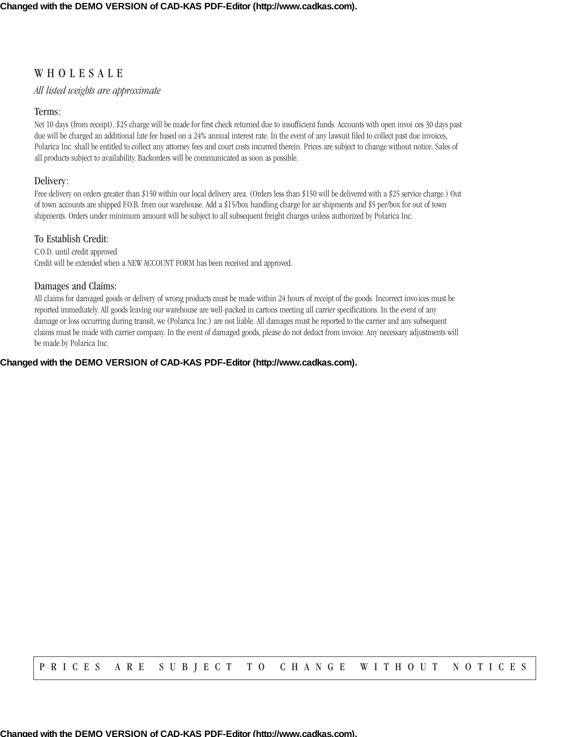#### WHOLESALE

*All listed weights are approximate*

#### Terms:

Net 10 days (from receipt), \$25 charge will be made for first check returned due to insufficient funds. Accounts with open invoi ces 30 days past due will be charged an additional late fee based on a 24% annual interest rate. In the event of any lawsuit filed to collect past due invoices, Polarica Inc. shall be entitled to collect any attorney fees and court costs incurred therein. Prices are subject to change without notice. Sales of all products subject to availability. Backorders will be communicated as soon as possible.

#### Delivery:

Free delivery on orders greater than \$150 within our local delivery area. (Orders less than \$150 will be delivered with a \$25 service charge.) Out of town accounts are shipped F.O.B. from our warehouse. Add a \$15/box handling charge for air shipments and \$5 per/box for out of town shipments. Orders under minimum amount will be subject to all subsequent freight charges unless authorized by Polarica Inc.

#### To Establish Credit:

C.O.D. until credit approved Credit will be extended when a NEW ACCOUNT FORM has been received and approved.

#### Damages and Claims:

All claims for damaged goods or delivery of wrong products must be made within 24 hours of receipt of the goods. Incorrect invoices must be reported immediately. All goods leaving our warehouse are well-packed in cartons meeting all carrier specifications. In the event of any damage or loss occurring during transit, we (Polarica Inc.) are not liable. All damages must be reported to the carrier and any subsequent claims must be made with carrier company. In the event of damaged goods, please do not deduct from invoice. Any necessary adjustments will be made by Polarica Inc.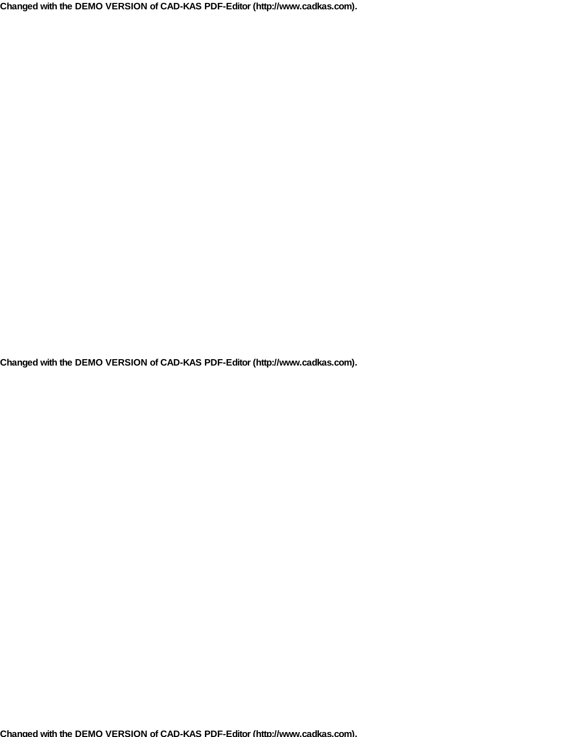**Changed with the DEMO VERSION of CAD-KAS PDF-Editor (http://www.cadkas.com).**